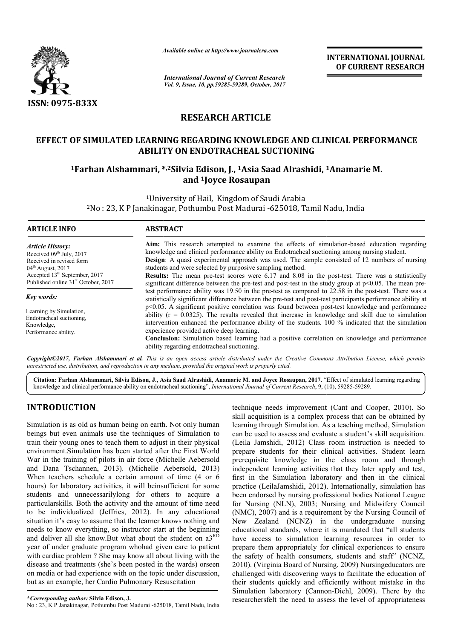

*Available online at http://www.journal http://www.journalcra.com*

*International Journal of Current Research Vol. 9, Issue, 10, pp.59285-59289, October, 2017* **INTERNATIONAL JOURNAL OF CURRENT RESEARCH** 

# **RESEARCH ARTICLE**

# EFFECT OF SIMULATED LEARNING REGARDING KNOWLEDGE AND CLINICAL PERFORMANCE<br>ABILITY ON ENDOTRACHEAL SUCTIONING<br><sup>1</sup>Farhan Alshammari, \*2Silvia Edison, J., <sup>1</sup>Asia Saad Alrashidi, <sup>1</sup>Anamarie M. **ABILITY ON ENDOTRACHEAL SUCTIONING**

# **1Farhan Alshammari, \* \*,2Silvia Edison, J., 1Asia Saad Alrashidi, <sup>1</sup> and 1Joyce Rosaupan**

1University University of Hail, Kingdom of Saudi Arabia <sup>2</sup>No : 23, K P Janakinagar, Pothumbu Post Madurai -625018, Tamil Nadu, India

| <b>ARTICLE INFO</b>                                                                                                                                                                               | <b>ABSTRACT</b>                                                                                                                                                                                                                                                                                                                                                                                                                                                                                                                                                                                                                                                                                                                               |
|---------------------------------------------------------------------------------------------------------------------------------------------------------------------------------------------------|-----------------------------------------------------------------------------------------------------------------------------------------------------------------------------------------------------------------------------------------------------------------------------------------------------------------------------------------------------------------------------------------------------------------------------------------------------------------------------------------------------------------------------------------------------------------------------------------------------------------------------------------------------------------------------------------------------------------------------------------------|
| Article History:<br>Received $09th$ July, 2017<br>Received in revised form<br>$04th$ August, 2017<br>Accepted 13 <sup>th</sup> September, 2017<br>Published online 31 <sup>st</sup> October, 2017 | Aim: This research attempted to examine the effects of simulation-based education regarding<br>knowledge and clinical performance ability on Endotracheal suctioning among nursing student.<br>Design: A quasi experimental approach was used. The sample consisted of 12 numbers of nursing<br>students and were selected by purposive sampling method.<br><b>Results:</b> The mean pre-test scores were 6.17 and 8.08 in the post-test. There was a statistically<br>significant difference between the pre-test and post-test in the study group at $p<0.05$ . The mean pre-                                                                                                                                                               |
| Key words:<br>Learning by Simulation,<br>Endotracheal suctioning.<br>Knowledge,<br>Performance ability.                                                                                           | test performance ability was 19.50 in the pre-test as compared to 22.58 in the post-test. There was a<br>statistically significant difference between the pre-test and post-test participants performance ability at<br>$p<0.05$ . A significant positive correlation was found between post-test knowledge and performance<br>ability ( $r = 0.0325$ ). The results revealed that increase in knowledge and skill due to simulation<br>intervention enhanced the performance ability of the students. 100 % indicated that the simulation<br>experience provided active deep learning.<br><b>Conclusion:</b> Simulation based learning had a positive correlation on knowledge and performance<br>ability regarding endotracheal suctioning. |
|                                                                                                                                                                                                   | <b>Convright</b> ©2017. Farhan Alshammari et al. This is an open access article distributed under the Creative Commons Attribution License, which permits                                                                                                                                                                                                                                                                                                                                                                                                                                                                                                                                                                                     |

*Copyright©2017, Farhan Alshammari et al. This is an open access unrestricted use, distribution, and reproduction in any medium, provided the original work is properly cited. article distributed under the Creative Commons Att* under the Creative Commons Attribution License, which permits

Citation: Farhan Alshammari, Silvia Edison, J., Asia Saad Alrashidi, Anamarie M. and Joyce Rosaupan, 2017. "Effect of simulated learning regarding<br>knowledge and clinical performance ability on endotracheal suctioning", *In* knowledge and clinical performance ability on endotracheal suctioning", *International Journal of Current Research*, 9, (10

# **INTRODUCTION**

Simulation is as old as human being on earth. Not only human beings but even animals use the techniques of Simulation to train their young ones to teach them to adjust in their physical environment.Simulation has been started after the First World War in the training of pilots in air force (Michelle Aebersold and Dana Tschannen, 2013). (Michelle Aebersold, 2013) When teachers schedule a certain amount of time (4 or 6 hours) for laboratory activities, it will beinsufficient for some students and unnecessarilylong for others to acquire a particularskills. Both the activity and the amount of time need to be individualized (Jeffries, 2012). In any educational situation it's easy to assume that the learner knows nothing and needs to know everything, so instructor start at the beginning and deliver all she know.But what about the student on  $a^R$ year of under graduate program whohad given care to patient with cardiac problem ? She may know all about living with the with cardiac problem ? She may know all about living with the disease and treatments (she's been posted in the wards) orseen on media or had experience with on the topic under discussion, but as an example, her Cardio Pulmonary Resuscitation in air force (Michelle Aebersold, 2013)<br>
Intain amount of time (4 or 6<br>
it will beinsufficient for some<br>
ing for others to acquire a<br>
ty and the amount of time need<br>
s, 2012). In any educational<br>
interval the learner know

No : 23, K P Janakinagar, Pothumbu Post Madurai -625018 625018, Tamil Nadu, India

technique needs improvement (Cant and Cooper, 2010). So skill acquisition is a complex process that can be obtained by learning through Simulation. As a teaching method, Simulation can be used to assess and evaluate a student's skill acquisition. (Leila Jamshidi, 2012) Class room instruction is needed to prepare students for their clinical activities. Student learn prerequisite knowledge in the class room and through independent learning activities that they later apply and test, first in the Simulation laboratory and then in the clinical practice (LeilaJamshidi, 2012). Internationally, simulation has been endorsed by nursing professional bodies National League for Nursing (NLN), 2003; Nursing and Midwifery Council (NMC), 2007) and is a requirement by the Nursing Council of New Zealand (NCNZ) in the undergraduate nursing educational standards, where it is mandated that "all students have access to simulation learning resources in order to prepare them appropriately for clinical experiences to ensure the safety of health consumers, students and staff" (NCNZ, 2010). (Virginia Board of Nursing, 2009) challenged with discovering ways to facilitate the education of their students quickly and efficiently without mistake in the Simulation laboratory (Cannon-Diehl, 2009). There by the researchersfelt the need to assess the level of appropriateness skill acquisition is a complex process that can be obtained by learning through Simulation. As a teaching method, Simulation can be used to assess and evaluate a student's skill acquisition. (Leila Jamshidi, 2012). Class r (NMC), 2007) and is a requirement by the Nursing Council of New Zealand (NCNZ) in the undergraduate nursing educational standards, where it is mandated that "all students have access to simulation learning resources in ord with discovering ways to facilitate the education of<br>the quickly and efficiently without mistake in the<br>laboratory (Cannon-Diehl, 2009). There by the **INTERNATIONAL JOURNAL OF CURRENT RESEARCH**<br> **OF CURRENT RESEARCH**<br> **OF CURRENT RESEARCH**<br> **Config.14 Config. The Configence Configence Configence Configence Configence Configence Configence (the study group at p~0.05.**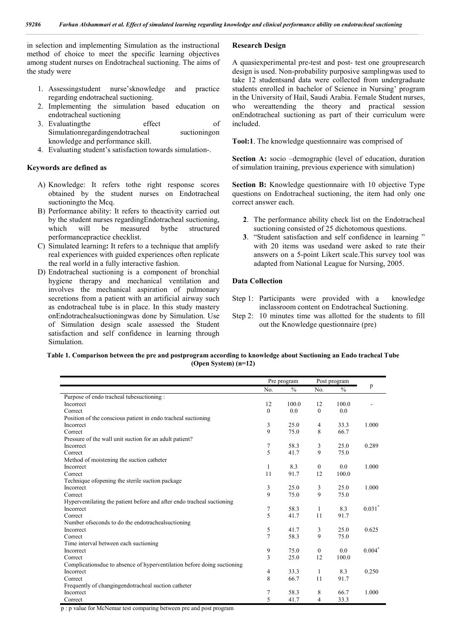in selection and implementing Simulation as the instructional method of choice to meet the specific learning objectives among student nurses on Endotracheal suctioning. The aims of the study were

- 1. Assessingstudent nurse'sknowledge and practice regarding endotracheal suctioning.
- 2. Implementing the simulation based education on endotracheal suctioning
- 3. Evaluatingthe effect of Simulationregardingendotracheal suctioningon knowledge and performance skill.
- 4. Evaluating student's satisfaction towards simulation-.

#### **Keywords are defined as**

- A) Knowledge: It refers tothe right response scores obtained by the student nurses on Endotracheal suctioningto the Mcq.
- B) Performance ability: It refers to theactivity carried out by the student nurses regardingEndotracheal suctioning, which will be measured bythe structured performancepractice checklist.
- C) Simulated learning**:** It refers to a technique that amplify real experiences with guided experiences often replicate the real world in a fully interactive fashion.
- D) Endotracheal suctioning is a component of bronchial hygiene therapy and mechanical ventilation and involves the mechanical aspiration of pulmonary secretions from a patient with an artificial airway such as endotracheal tube is in place. In this study mastery onEndotrachealsuctioningwas done by Simulation. Use of Simulation design scale assessed the Student satisfaction and self confidence in learning through Simulation.

#### **Research Design**

A quasiexperimental pre-test and post- test one groupresearch design is used. Non-probability purposive samplingwas used to take 12 studentsand data were collected from undergraduate students enrolled in bachelor of Science in Nursing' program in the University of Hail, Saudi Arabia. Female Student nurses, who wereattending the theory and practical session onEndotracheal suctioning as part of their curriculum were included.

**Tool:1**. The knowledge questionnaire was comprised of

**Section A:** socio –demographic (level of education, duration of simulation training, previous experience with simulation)

**Section B:** Knowledge questionnaire with 10 objective Type questions on Endotracheal suctioning, the item had only one correct answer each.

- **2**. The performance ability check list on the Endotracheal suctioning consisted of 25 dichotomous questions.
- **3**. "Student satisfaction and self confidence in learning " with 20 items was usedand were asked to rate their answers on a 5-point Likert scale.This survey tool was adapted from National League for Nursing, 2005.

#### **Data Collection**

- Step 1: Participants were provided with a knowledge inclassroom content on Endotracheal Suctioning.
- Step 2: 10 minutes time was allotted for the students to fill out the Knowledge questionnaire (pre)

#### **Table 1. Comparison between the pre and postprogram according to knowledge about Suctioning an Endo tracheal Tube (Open System) (n=12)**

|                                                                          | Pre program    |               | Post program |               |                      |
|--------------------------------------------------------------------------|----------------|---------------|--------------|---------------|----------------------|
|                                                                          | No.            | $\frac{0}{0}$ | No.          | $\frac{0}{0}$ | p                    |
| Purpose of endo tracheal tubesuctioning :                                |                |               |              |               |                      |
| Incorrect                                                                | 12             | 100.0         | 12           | 100.0         |                      |
| Correct                                                                  | $\mathbf{0}$   | 0.0           | $\mathbf{0}$ | 0.0           |                      |
| Position of the conscious patient in endo tracheal suctioning            |                |               |              |               |                      |
| Incorrect                                                                | 3              | 25.0          | 4            | 33.3          | 1.000                |
| Correct                                                                  | 9              | 75.0          | 8            | 66.7          |                      |
| Pressure of the wall unit suction for an adult patient?                  |                |               |              |               |                      |
| Incorrect                                                                | 7              | 58.3          | 3            | 25.0          | 0.289                |
| Correct                                                                  | 5              | 41.7          | 9            | 75.0          |                      |
| Method of moistening the suction catheter                                |                |               |              |               |                      |
| Incorrect                                                                | 1              | 8.3           | $\mathbf{0}$ | 0.0           | 1.000                |
| Correct                                                                  | 11             | 91.7          | 12           | 100.0         |                      |
| Technique of opening the sterile suction package                         |                |               |              |               |                      |
| Incorrect                                                                | 3              | 25.0          | 3            | 25.0          | 1.000                |
| Correct                                                                  | 9              | 75.0          | 9            | 75.0          |                      |
| Hyperventilating the patient before and after endo tracheal suctioning   |                |               |              |               |                      |
| Incorrect                                                                | $\overline{7}$ | 58.3          | 1            | 8.3           | $0.031$ <sup>*</sup> |
| Correct                                                                  | 5              | 41.7          | 11           | 91.7          |                      |
| Number of seconds to do the endotracheal suctioning                      |                |               |              |               |                      |
| Incorrect                                                                | 5              | 41.7          | 3            | 25.0          | 0.625                |
| Correct                                                                  | $\overline{7}$ | 58.3          | 9            | 75.0          |                      |
| Time interval between each suctioning                                    |                |               |              |               |                      |
| Incorrect                                                                | 9              | 75.0          | $\mathbf{0}$ | 0.0           | $0.004*$             |
| Correct                                                                  | 3              | 25.0          | 12           | 100.0         |                      |
| Complications due to absence of hyperventilation before doing suctioning |                |               |              |               |                      |
| Incorrect                                                                | 4              | 33.3          | 1            | 8.3           | 0.250                |
| Correct                                                                  | 8              | 66.7          | 11           | 91.7          |                      |
| Frequently of changingendotracheal suction catheter                      |                |               |              |               |                      |
| Incorrect                                                                | 7              | 58.3          | 8            | 66.7          | 1.000                |
| Correct                                                                  | 5              | 41.7          | 4            | 33.3          |                      |

p : p value for McNemar test comparing between pre and post program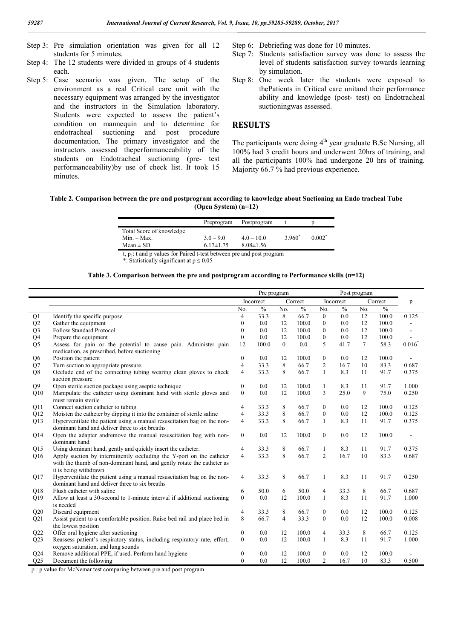- Step 3: Pre simulation orientation was given for all 12 students for 5 minutes.
- Step 4: The 12 students were divided in groups of 4 students each.
- Step 5: Case scenario was given. The setup of the environment as a real Critical care unit with the necessary equipment was arranged by the investigator and the instructors in the Simulation laboratory. Students were expected to assess the patient's condition on mannequin and to determine for<br>endotracheal suctioning and post procedure endotracheal suctioning and post procedure documentation. The primary investigator and the instructors assessed theperformanceability of the students on Endotracheal suctioning (pre- test performanceability)by use of check list. It took 15 minutes.
- Step 6: Debriefing was done for 10 minutes.
- Step 7: Students satisfaction survey was done to assess the level of students satisfaction survey towards learning by simulation.
- Step 8: One week later the students were exposed to thePatients in Critical care unitand their performance ability and knowledge (post- test) on Endotracheal suctioningwas assessed.

## **RESULTS**

The participants were doing  $4<sup>th</sup>$  year graduate B.Sc Nursing, all 100% had 3 credit hours and underwent 20hrs of training, and all the participants 100% had undergone 20 hrs of training. Majority 66.7 % had previous experience.

#### **Table 2. Comparison between the pre and postprogram according to knowledge about Suctioning an Endo tracheal Tube (Open System) (n=12)**

|                          | Preprogram      | Postprogram     |          |          |
|--------------------------|-----------------|-----------------|----------|----------|
| Total Score of knowledge |                 |                 |          |          |
| $Min. - Max.$            | $3.0 - 9.0$     | $4.0 - 10.0$    | $3960^*$ | $0.002*$ |
| $Mean \pm SD$            | $6.17 \pm 1.75$ | $8.08 \pm 1.56$ |          |          |
|                          | .               |                 |          |          |

t,  $p_1$ : t and p values for Paired t-test between pre and post program

\*: Statistically significant at p ≤ 0.05

#### **Table 3. Comparison between the pre and postprogram according to Performance skills (n=12)**

|                 |                                                                                                                           | Pre program<br>Post program |               |                |               |                  |               |        |               |          |
|-----------------|---------------------------------------------------------------------------------------------------------------------------|-----------------------------|---------------|----------------|---------------|------------------|---------------|--------|---------------|----------|
|                 |                                                                                                                           |                             | Incorrect     |                | Correct       |                  | Incorrect     |        | Correct       | p        |
|                 |                                                                                                                           | No.                         | $\frac{0}{0}$ | No.            | $\frac{0}{0}$ | No.              | $\frac{0}{6}$ | No.    | $\frac{0}{0}$ |          |
| $\overline{Q1}$ | Identify the specific purpose                                                                                             | 4                           | 33.3          | 8              | 66.7          | $\overline{0}$   | 0.0           | 12     | 100.0         | 0.125    |
| Q2              | Gather the equipment                                                                                                      | $\theta$                    | 0.0           | 12             | 100.0         | $\boldsymbol{0}$ | 0.0           | 12     | 100.0         |          |
| Q <sub>3</sub>  | <b>Follow Standard Protocol</b>                                                                                           | $\theta$                    | 0.0           | 12             | 100.0         | $\mathbf{0}$     | 0.0           | 12     | 100.0         |          |
| Q4              | Prepare the equipment                                                                                                     | $\theta$                    | 0.0           | 12             | 100.0         | $\mathbf{0}$     | 0.0           | 12     | 100.0         |          |
| Q <sub>5</sub>  | Assess for pain or the potential to cause pain. Administer pain                                                           | 12                          | 100.0         | $\overline{0}$ | 0.0           | 5                | 41.7          | $\tau$ | 58.3          | $0.016*$ |
|                 | medication, as prescribed, before suctioning                                                                              |                             |               |                |               |                  |               |        |               |          |
| Q <sub>6</sub>  | Position the patient                                                                                                      | $\boldsymbol{0}$            | 0.0           | 12             | 100.0         | $\boldsymbol{0}$ | 0.0           | 12     | 100.0         |          |
| Q7              | Turn suction to appropriate pressure.                                                                                     | 4                           | 33.3          | 8              | 66.7          | $\overline{2}$   | 16.7          | 10     | 83.3          | 0.687    |
| Q8              | Occlude end of the connecting tubing wearing clean gloves to check<br>suction pressure                                    | $\overline{4}$              | 33.3          | 8              | 66.7          | $\mathbf{1}$     | 8.3           | 11     | 91.7          | 0.375    |
| Q <sub>9</sub>  | Open sterile suction package using aseptic technique                                                                      | $\mathbf{0}$                | 0.0           | 12             | 100.0         | $\mathbf{1}$     | 8.3           | 11     | 91.7          | 1.000    |
| Q10             | Manipulate the catheter using dominant hand with sterile gloves and                                                       | $\mathbf{0}$                | 0.0           | 12             | 100.0         | 3                | 25.0          | 9      | 75.0          | 0.250    |
|                 | must remain sterile                                                                                                       |                             |               |                |               |                  |               |        |               |          |
| Q11             | Connect suction catheter to tubing                                                                                        | 4                           | 33.3          | 8              | 66.7          | $\boldsymbol{0}$ | 0.0           | 12     | 100.0         | 0.125    |
| Q12             | Moisten the catheter by dipping it into the container of sterile saline                                                   | $\overline{4}$              | 33.3          | 8              | 66.7          | $\mathbf{0}$     | 0.0           | 12     | 100.0         | 0.125    |
| Q13             | Hyperventilate the patient using a manual resuscitation bag on the non-                                                   | $\overline{4}$              | 33.3          | 8              | 66.7          | $\mathbf{1}$     | 8.3           | 11     | 91.7          | 0.375    |
|                 | dominant hand and deliver three to six breaths                                                                            |                             |               |                |               |                  |               |        |               |          |
| Q14             | Open the adapter andremove the manual resuscitation bag with non-                                                         | $\mathbf{0}$                | 0.0           | 12             | 100.0         | $\boldsymbol{0}$ | 0.0           | 12     | 100.0         |          |
|                 | dominant hand.                                                                                                            |                             |               |                |               |                  |               |        |               |          |
| Q15             | Using dominant hand, gently and quickly insert the catheter.                                                              | 4                           | 33.3          | 8              | 66.7          | 1                | 8.3           | 11     | 91.7          | 0.375    |
| Q16             | Apply suction by intermittently occluding the Y-port on the catheter                                                      | $\overline{4}$              | 33.3          | 8              | 66.7          | $\overline{2}$   | 16.7          | 10     | 83.3          | 0.687    |
|                 | with the thumb of non-dominant hand, and gently rotate the catheter as                                                    |                             |               |                |               |                  |               |        |               |          |
|                 | it is being withdrawn                                                                                                     |                             |               |                |               |                  |               |        |               |          |
| Q17             | Hyperventilate the patient using a manual resuscitation bag on the non-<br>dominant hand and deliver three to six breaths | $\overline{4}$              | 33.3          | 8              | 66.7          | $\mathbf{1}$     | 8.3           | 11     | 91.7          | 0.250    |
| Q18             | Flush catheter with saline                                                                                                | 6                           | 50.0          | 6              | 50.0          | $\overline{4}$   | 33.3          | 8      | 66.7          | 0.687    |
| Q19             | Allow at least a 30-second to 1-minute interval if additional suctioning                                                  | $\mathbf{0}$                | 0.0           | 12             | 100.0         | $\mathbf{1}$     | 8.3           | 11     | 91.7          | 1.000    |
|                 | is needed                                                                                                                 |                             |               |                |               |                  |               |        |               |          |
| Q20             | Discard equipment                                                                                                         | 4                           | 33.3          | 8              | 66.7          | $\mathbf{0}$     | 0.0           | 12     | 100.0         | 0.125    |
| Q21             | Assist patient to a comfortable position. Raise bed rail and place bed in                                                 | 8                           | 66.7          | $\overline{4}$ | 33.3          | $\overline{0}$   | 0.0           | 12     | 100.0         | 0.008    |
|                 | the lowest position                                                                                                       |                             |               |                |               |                  |               |        |               |          |
| Q22             | Offer oral hygiene after suctioning                                                                                       | $\mathbf{0}$                | 0.0           | 12             | 100.0         | $\overline{4}$   | 33.3          | 8      | 66.7          | 0.125    |
| Q23             | Reassess patient's respiratory status, including respiratory rate, effort,                                                | $\theta$                    | 0.0           | 12             | 100.0         | $\mathbf{1}$     | 8.3           | 11     | 91.7          | 1.000    |
|                 | oxygen saturation, and lung sounds                                                                                        |                             |               |                |               |                  |               |        |               |          |
| Q24             | Remove additional PPE, if used. Perform hand hygiene                                                                      | $\boldsymbol{0}$            | 0.0           | 12             | 100.0         | $\boldsymbol{0}$ | 0.0           | 12     | 100.0         |          |
| Q25             | Document the following                                                                                                    | $\theta$                    | 0.0           | 12             | 100.0         | $\overline{2}$   | 16.7          | 10     | 83.3          | 0.500    |

p : p value for McNemar test comparing between pre and post program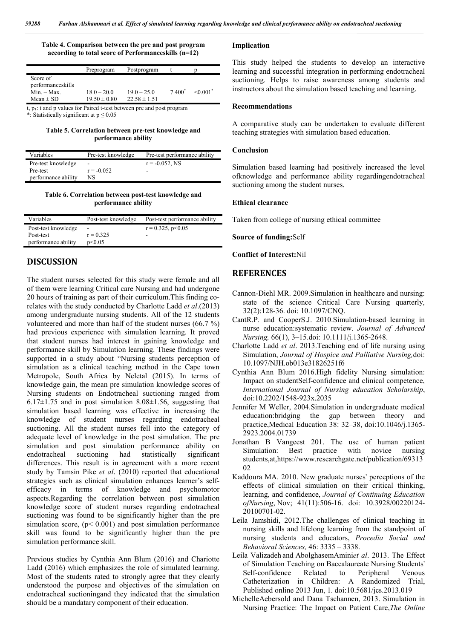#### **Table 4. Comparison between the pre and post program according to total score of Performanceskills (n=12)**

|                                                                          | Preprogram       | Postprogram      |           |                           |
|--------------------------------------------------------------------------|------------------|------------------|-----------|---------------------------|
| Score of                                                                 |                  |                  |           |                           |
| performanceskills<br>$Min. - Max.$                                       | $18.0 - 20.0$    | $19.0 - 25.0$    | $7,400^*$ | $\leq 0.001$ <sup>*</sup> |
| $Mean \pm SD$                                                            | $19.50 \pm 0.80$ | $22.58 \pm 1.51$ |           |                           |
| t, $p_1$ : t and p values for Paired t-test between pre and post program |                  |                  |           |                           |

\*: Statistically significant at  $p \le 0.05$ 

#### **Table 5. Correlation between pre-test knowledge and performance ability**

| Variables           | Pre-test knowledge       | Pre-test performance ability |
|---------------------|--------------------------|------------------------------|
| Pre-test knowledge  | $\overline{\phantom{a}}$ | $r = -0.052$ . NS            |
| Pre-test            | $r = -0.052$             | $\overline{\phantom{a}}$     |
| performance ability | NS                       |                              |

#### **Table 6. Correlation between post-test knowledge and performance ability**

| Variables           | Post-test knowledge      | Post-test performance ability |
|---------------------|--------------------------|-------------------------------|
| Post-test knowledge | $\overline{\phantom{a}}$ | $r = 0.325$ , $p < 0.05$      |
| Post-test           | $r = 0.325$              | $\overline{\phantom{a}}$      |
| performance ability | p<0.05                   |                               |

## **DISCUSSION**

The student nurses selected for this study were female and all of them were learning Critical care Nursing and had undergone 20 hours of training as part of their curriculum.This finding corelates with the study conducted by Charlotte Ladd *et al*.(2013) among undergraduate nursing students. All of the 12 students volunteered and more than half of the student nurses (66.7 %) had previous experience with simulation learning. It proved that student nurses had interest in gaining knowledge and performance skill by Simulation learning. These findings were supported in a study about "Nursing students perception of simulation as a clinical teaching method in the Cape town Metropole, South Africa by Neletal (2015). In terms of knowledge gain, the mean pre simulation knowledge scores of Nursing students on Endotracheal suctioning ranged from  $6.17\pm1.75$  and in post simulation  $8.08\pm1.56$ , suggesting that simulation based learning was effective in increasing the knowledge of student nurses regarding endotracheal suctioning. All the student nurses fell into the category of adequate level of knowledge in the post simulation. The pre simulation and post simulation performance ability on endotracheal suctioning had statistically significant endotracheal suctioning had statistically differences. This result is in agreement with a more recent study by Tamsin Pike *et al*. (2010) reported that educational strategies such as clinical simulation enhances learner's selfefficacy in terms of knowledge and psychomotor aspects.Regarding the correlation between post simulation knowledge score of student nurses regarding endotracheal suctioning was found to be significantly higher than the pre simulation score,  $(p< 0.001)$  and post simulation performance skill was found to be significantly higher than the pre simulation performance skill.

Previous studies by Cynthia Ann Blum (2016) and Chariotte Ladd (2016) which emphasizes the role of simulated learning. Most of the students rated to strongly agree that they clearly understood the purpose and objectives of the simulation on endotracheal suctioningand they indicated that the simulation should be a mandatary component of their education.

#### **Implication**

This study helped the students to develop an interactive learning and successful integration in performing endotracheal suctioning. Helps to raise awareness among students and instructors about the simulation based teaching and learning.

#### **Recommendations**

A comparative study can be undertaken to evaluate different teaching strategies with simulation based education.

#### **Conclusion**

Simulation based learning had positively increased the level ofknowledge and performance ability regardingendotracheal suctioning among the student nurses.

#### **Ethical clearance**

Taken from college of nursing ethical committee

#### **Source of funding:**Self

#### **Conflict of Interest:**Nil

### **REFERENCES**

- Cannon-Diehl MR. 2009.Simulation in healthcare and nursing: state of the science Critical Care Nursing quarterly, 32(2):128-36. doi: 10.1097/CNQ.
- CantR.P. and CooperS.J. 2010.Simulation-based learning in nurse education:systematic review. *Journal of Advanced Nursing,* 66(1), 3–15.doi: 10.1111/j.1365-2648.
- Charlotte Ladd *et al*. 2013.Teaching end of life nursing using Simulation, *Journal of Hospice and Palliative Nursing,*doi: 10.1097/NJH.ob013e31826251f6
- Cynthia Ann Blum 2016.High fidelity Nursing simulation: Impact on studentSelf-confidence and clinical competence, *International Journal of Nursing education Scholarship*, doi:10.2202/1548-923x.2035
- Jennifer M Weller, 2004.Simulation in undergraduate medical education:bridging the gap between theory and practice,Medical Education 38: 32–38, doi:10.1046/j.1365- 2923.2004.01739
- Jonathan B Vangeest 201. The use of human patient Simulation: Best practice with novice nursing students,at,https://www.researchgate.net/publication/69313 02
- Kaddoura MA. 2010. New graduate nurses' perceptions of the effects of clinical simulation on their critical thinking, learning, and confidence, *Journal of Continuing Education ofNursing*, Nov; 41(11):506-16. doi: 10.3928/00220124- 20100701-02.
- Leila Jamshidi, 2012.The challenges of clinical teaching in nursing skills and lifelong learning from the standpoint of nursing students and educators, *Procedia Social and Behavioral Sciences,* 46: 3335 – 3338.
- Leila Valizadeh and AbolghasemAmini*et al*. 2013. The Effect of Simulation Teaching on Baccalaureate Nursing Students' Self-confidence Related to Peripheral Venous Catheterization in Children: A Randomized Trial, Published online 2013 Jun, 1. doi:10.5681/jcs.2013.019
- MichelleAebersold and Dana Tschannen, 2013. Simulation in Nursing Practice: The Impact on Patient Care,*The Online*